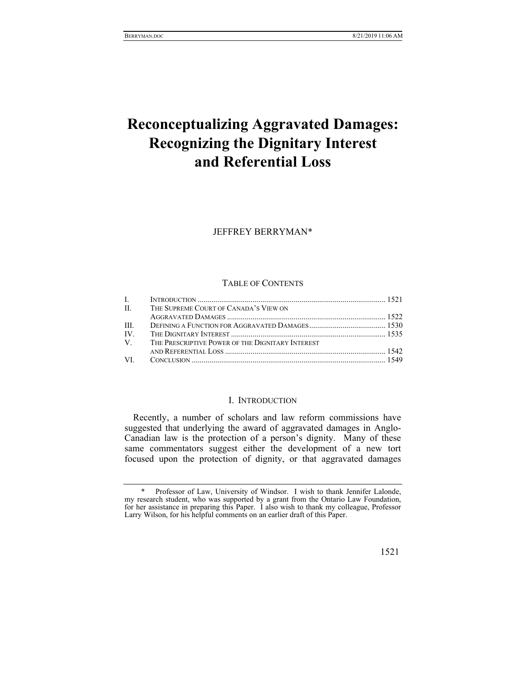# **Reconceptualizing Aggravated Damages: Recognizing the Dignitary Interest and Referential Loss**

JEFFREY BERRYMAN\*

# TABLE OF CONTENTS

|      | II. THE SUPREME COURT OF CANADA'S VIEW ON           |  |
|------|-----------------------------------------------------|--|
|      |                                                     |  |
| Ш    |                                                     |  |
| IV — |                                                     |  |
|      | V. THE PRESCRIPTIVE POWER OF THE DIGNITARY INTEREST |  |
|      |                                                     |  |
|      |                                                     |  |

#### I. INTRODUCTION

Recently, a number of scholars and law reform commissions have suggested that underlying the award of aggravated damages in Anglo-Canadian law is the protection of a person's dignity. Many of these same commentators suggest either the development of a new tort focused upon the protection of dignity, or that aggravated damages

 <sup>\*</sup> Professor of Law, University of Windsor. I wish to thank Jennifer Lalonde, my research student, who was supported by a grant from the Ontario Law Foundation, for her assistance in preparing this Paper. I also wish to thank my colleague, Professor Larry Wilson, for his helpful comments on an earlier draft of this Paper.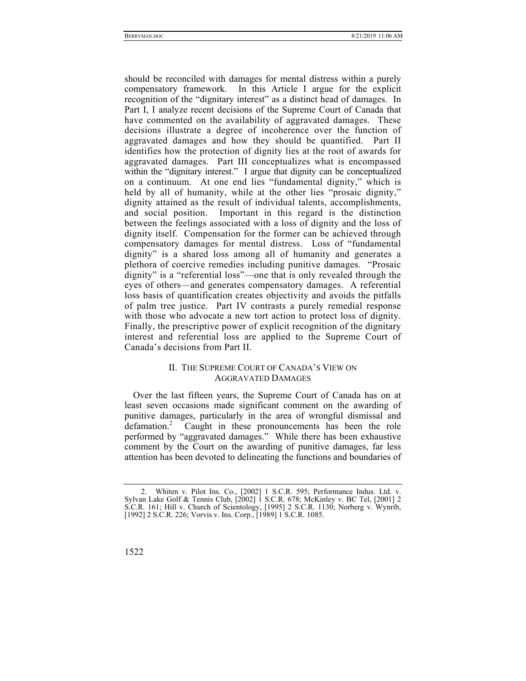should be reconciled with damages for mental distress within a purely compensatory framework. In this Article I argue for the explicit recognition of the "dignitary interest" as a distinct head of damages. In Part I, I analyze recent decisions of the Supreme Court of Canada that have commented on the availability of aggravated damages. These decisions illustrate a degree of incoherence over the function of aggravated damages and how they should be quantified. Part II identifies how the protection of dignity lies at the root of awards for aggravated damages. Part III conceptualizes what is encompassed within the "dignitary interest." I argue that dignity can be conceptualized on a continuum. At one end lies "fundamental dignity," which is held by all of humanity, while at the other lies "prosaic dignity," dignity attained as the result of individual talents, accomplishments, and social position. Important in this regard is the distinction between the feelings associated with a loss of dignity and the loss of dignity itself. Compensation for the former can be achieved through compensatory damages for mental distress. Loss of "fundamental dignity" is a shared loss among all of humanity and generates a plethora of coercive remedies including punitive damages. "Prosaic dignity" is a "referential loss"—one that is only revealed through the eyes of others—and generates compensatory damages. A referential loss basis of quantification creates objectivity and avoids the pitfalls of palm tree justice. Part IV contrasts a purely remedial response with those who advocate a new tort action to protect loss of dignity. Finally, the prescriptive power of explicit recognition of the dignitary interest and referential loss are applied to the Supreme Court of Canada's decisions from Part II.

# II. THE SUPREME COURT OF CANADA'S VIEW ON AGGRAVATED DAMAGES

Over the last fifteen years, the Supreme Court of Canada has on at least seven occasions made significant comment on the awarding of punitive damages, particularly in the area of wrongful dismissal and defamation.<sup>2</sup> Caught in these pronouncements has been the role performed by "aggravated damages." While there has been exhaustive comment by the Court on the awarding of punitive damages, far less attention has been devoted to delineating the functions and boundaries of

 <sup>2.</sup> Whiten v. Pilot Ins. Co., [2002] 1 S.C.R. 595; Performance Indus. Ltd. v. Sylvan Lake Golf & Tennis Club, [2002] 1 S.C.R. 678; McKinley v. BC Tel, [2001] 2 S.C.R. 161; Hill v. Church of Scientology, [1995] 2 S.C.R. 1130; Norberg v. Wynrib, [1992] 2 S.C.R. 226; Vorvis v. Ins. Corp., [1989] 1 S.C.R. 1085.

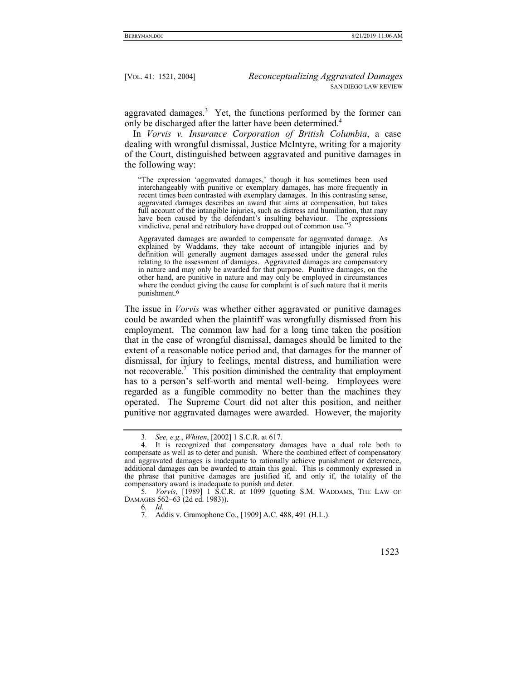aggravated damages.<sup>3</sup> Yet, the functions performed by the former can only be discharged after the latter have been determined.<sup>4</sup>

In *Vorvis v. Insurance Corporation of British Columbia*, a case dealing with wrongful dismissal, Justice McIntyre, writing for a majority of the Court, distinguished between aggravated and punitive damages in the following way:

"The expression 'aggravated damages,' though it has sometimes been used interchangeably with punitive or exemplary damages, has more frequently in recent times been contrasted with exemplary damages. In this contrasting sense, aggravated damages describes an award that aims at compensation, but takes full account of the intangible injuries, such as distress and humiliation, that may have been caused by the defendant's insulting behaviour. The expressions vindictive, penal and retributory have dropped out of common use."

Aggravated damages are awarded to compensate for aggravated damage. As explained by Waddams, they take account of intangible injuries and by definition will generally augment damages assessed under the general rules relating to the assessment of damages. Aggravated damages are compensatory in nature and may only be awarded for that purpose. Punitive damages, on the other hand, are punitive in nature and may only be employed in circumstances where the conduct giving the cause for complaint is of such nature that it merits punishment.6

The issue in *Vorvis* was whether either aggravated or punitive damages could be awarded when the plaintiff was wrongfully dismissed from his employment. The common law had for a long time taken the position that in the case of wrongful dismissal, damages should be limited to the extent of a reasonable notice period and, that damages for the manner of dismissal, for injury to feelings, mental distress, and humiliation were not recoverable.<sup>7</sup> This position diminished the centrality that employment has to a person's self-worth and mental well-being. Employees were regarded as a fungible commodity no better than the machines they operated. The Supreme Court did not alter this position, and neither punitive nor aggravated damages were awarded. However, the majority

6*. Id.*

<sup>3</sup>*. See, e.g.*, *Whiten*, [2002] 1 S.C.R. at 617.

 <sup>4.</sup> It is recognized that compensatory damages have a dual role both to compensate as well as to deter and punish. Where the combined effect of compensatory and aggravated damages is inadequate to rationally achieve punishment or deterrence, additional damages can be awarded to attain this goal. This is commonly expressed in the phrase that punitive damages are justified if, and only if, the totality of the compensatory award is inadequate to punish and deter.

<sup>5</sup>*. Vorvis*, [1989] 1 S.C.R. at 1099 (quoting S.M. WADDAMS, THE LAW OF DAMAGES 562–63 (2d ed. 1983)).

 <sup>7.</sup> Addis v. Gramophone Co., [1909] A.C. 488, 491 (H.L.).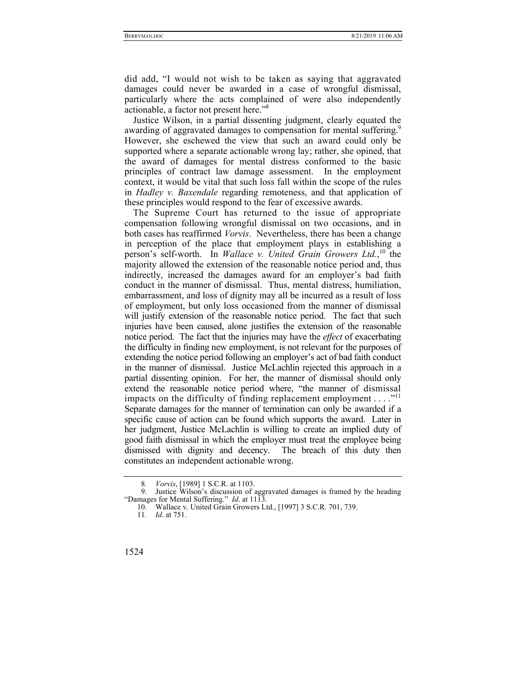did add, "I would not wish to be taken as saying that aggravated damages could never be awarded in a case of wrongful dismissal, particularly where the acts complained of were also independently actionable, a factor not present here."<sup>8</sup>

Justice Wilson, in a partial dissenting judgment, clearly equated the awarding of aggravated damages to compensation for mental suffering.<sup>9</sup> However, she eschewed the view that such an award could only be supported where a separate actionable wrong lay; rather, she opined, that the award of damages for mental distress conformed to the basic principles of contract law damage assessment. In the employment context, it would be vital that such loss fall within the scope of the rules in *Hadley v. Baxendale* regarding remoteness, and that application of these principles would respond to the fear of excessive awards.

The Supreme Court has returned to the issue of appropriate compensation following wrongful dismissal on two occasions, and in both cases has reaffirmed *Vorvis*. Nevertheless, there has been a change in perception of the place that employment plays in establishing a person's self-worth. In *Wallace v. United Grain Growers Ltd.*,<sup>10</sup> the majority allowed the extension of the reasonable notice period and, thus indirectly, increased the damages award for an employer's bad faith conduct in the manner of dismissal. Thus, mental distress, humiliation, embarrassment, and loss of dignity may all be incurred as a result of loss of employment, but only loss occasioned from the manner of dismissal will justify extension of the reasonable notice period. The fact that such injuries have been caused, alone justifies the extension of the reasonable notice period. The fact that the injuries may have the *effect* of exacerbating the difficulty in finding new employment, is not relevant for the purposes of extending the notice period following an employer's act of bad faith conduct in the manner of dismissal. Justice McLachlin rejected this approach in a partial dissenting opinion. For her, the manner of dismissal should only extend the reasonable notice period where, "the manner of dismissal impacts on the difficulty of finding replacement employment  $\dots$ ."<sup>11</sup> Separate damages for the manner of termination can only be awarded if a specific cause of action can be found which supports the award. Later in her judgment, Justice McLachlin is willing to create an implied duty of good faith dismissal in which the employer must treat the employee being dismissed with dignity and decency. The breach of this duty then constitutes an independent actionable wrong.

<sup>8</sup>*. Vorvis*, [1989] 1 S.C.R. at 1103.

Justice Wilson's discussion of aggravated damages is framed by the heading "Damages for Mental Suffering." *Id.* at 1113.

 <sup>10.</sup> Wallace v. United Grain Growers Ltd., [1997] 3 S.C.R. 701, 739.

<sup>11</sup>*. Id*. at 751.

<sup>1524</sup>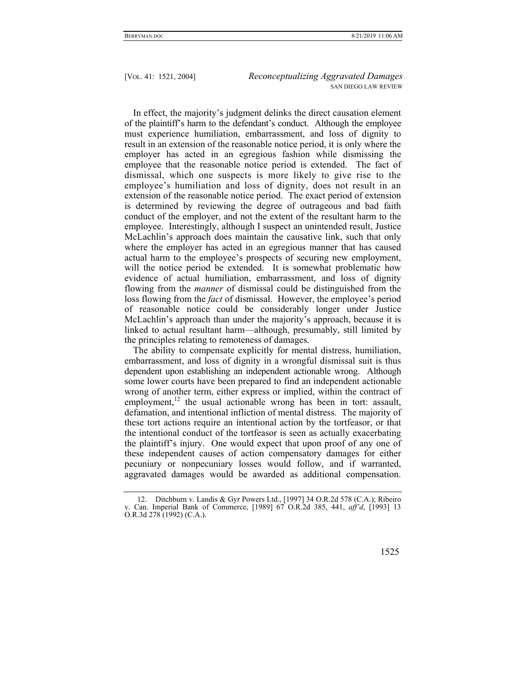In effect, the majority's judgment delinks the direct causation element of the plaintiff's harm to the defendant's conduct. Although the employee must experience humiliation, embarrassment, and loss of dignity to result in an extension of the reasonable notice period, it is only where the employer has acted in an egregious fashion while dismissing the employee that the reasonable notice period is extended. The fact of dismissal, which one suspects is more likely to give rise to the employee's humiliation and loss of dignity, does not result in an extension of the reasonable notice period. The exact period of extension is determined by reviewing the degree of outrageous and bad faith conduct of the employer, and not the extent of the resultant harm to the employee. Interestingly, although I suspect an unintended result, Justice McLachlin's approach does maintain the causative link, such that only where the employer has acted in an egregious manner that has caused actual harm to the employee's prospects of securing new employment, will the notice period be extended. It is somewhat problematic how evidence of actual humiliation, embarrassment, and loss of dignity flowing from the *manner* of dismissal could be distinguished from the loss flowing from the *fact* of dismissal. However, the employee's period of reasonable notice could be considerably longer under Justice McLachlin's approach than under the majority's approach, because it is linked to actual resultant harm—although, presumably, still limited by the principles relating to remoteness of damages.

The ability to compensate explicitly for mental distress, humiliation, embarrassment, and loss of dignity in a wrongful dismissal suit is thus dependent upon establishing an independent actionable wrong. Although some lower courts have been prepared to find an independent actionable wrong of another term, either express or implied, within the contract of employment,<sup>12</sup> the usual actionable wrong has been in tort: assault, defamation, and intentional infliction of mental distress. The majority of these tort actions require an intentional action by the tortfeasor, or that the intentional conduct of the tortfeasor is seen as actually exacerbating the plaintiff's injury. One would expect that upon proof of any one of these independent causes of action compensatory damages for either pecuniary or nonpecuniary losses would follow, and if warranted, aggravated damages would be awarded as additional compensation.

 <sup>12.</sup> Ditchburn v. Landis & Gyr Powers Ltd., [1997] 34 O.R.2d 578 (C.A.); Ribeiro v. Can. Imperial Bank of Commerce, [1989] 67 O.R.2d 385, 441, *aff'd*, [1993] 13 O.R.3d 278 (1992) (C.A.).

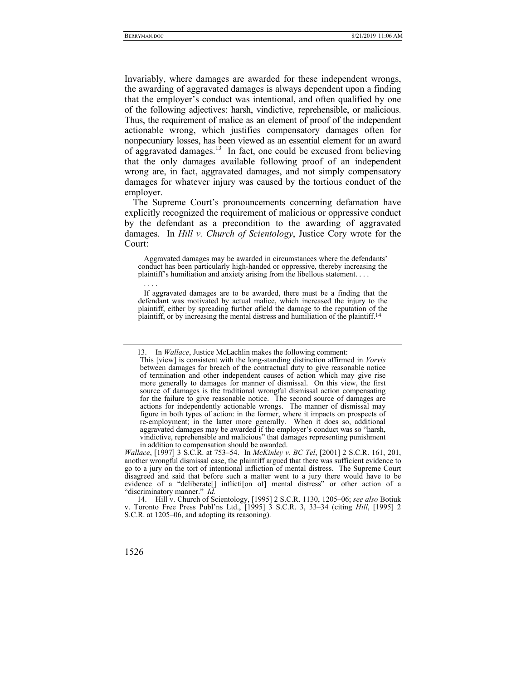Invariably, where damages are awarded for these independent wrongs, the awarding of aggravated damages is always dependent upon a finding that the employer's conduct was intentional, and often qualified by one of the following adjectives: harsh, vindictive, reprehensible, or malicious. Thus, the requirement of malice as an element of proof of the independent actionable wrong, which justifies compensatory damages often for nonpecuniary losses, has been viewed as an essential element for an award of aggravated damages.13 In fact, one could be excused from believing that the only damages available following proof of an independent wrong are, in fact, aggravated damages, and not simply compensatory damages for whatever injury was caused by the tortious conduct of the employer.

The Supreme Court's pronouncements concerning defamation have explicitly recognized the requirement of malicious or oppressive conduct by the defendant as a precondition to the awarding of aggravated damages. In *Hill v. Church of Scientology*, Justice Cory wrote for the Court:

 Aggravated damages may be awarded in circumstances where the defendants' conduct has been particularly high-handed or oppressive, thereby increasing the plaintiff's humiliation and anxiety arising from the libellous statement. . . .

. . . .

 If aggravated damages are to be awarded, there must be a finding that the defendant was motivated by actual malice, which increased the injury to the plaintiff, either by spreading further afield the damage to the reputation of the plaintiff, or by increasing the mental distress and humiliation of the plaintiff.14

 <sup>13.</sup> In *Wallace*, Justice McLachlin makes the following comment:

This [view] is consistent with the long-standing distinction affirmed in *Vorvis* between damages for breach of the contractual duty to give reasonable notice of termination and other independent causes of action which may give rise more generally to damages for manner of dismissal. On this view, the first source of damages is the traditional wrongful dismissal action compensating for the failure to give reasonable notice. The second source of damages are actions for independently actionable wrongs. The manner of dismissal may figure in both types of action: in the former, where it impacts on prospects of re-employment; in the latter more generally. When it does so, additional aggravated damages may be awarded if the employer's conduct was so "harsh, vindictive, reprehensible and malicious" that damages representing punishment in addition to compensation should be awarded.

*Wallace*, [1997] 3 S.C.R. at 753–54. In *McKinley v. BC Tel*, [2001] 2 S.C.R. 161, 201, another wrongful dismissal case, the plaintiff argued that there was sufficient evidence to go to a jury on the tort of intentional infliction of mental distress. The Supreme Court disagreed and said that before such a matter went to a jury there would have to be evidence of a "deliberate[] inflicti[on of] mental distress" or other action of a "discriminatory manner." *Id.*

 <sup>14.</sup> Hill v. Church of Scientology, [1995] 2 S.C.R. 1130, 1205–06; *see also* Botiuk v. Toronto Free Press Publ'ns Ltd., [1995] 3 S.C.R. 3, 33–34 (citing *Hill*, [1995] 2 S.C.R. at 1205–06, and adopting its reasoning).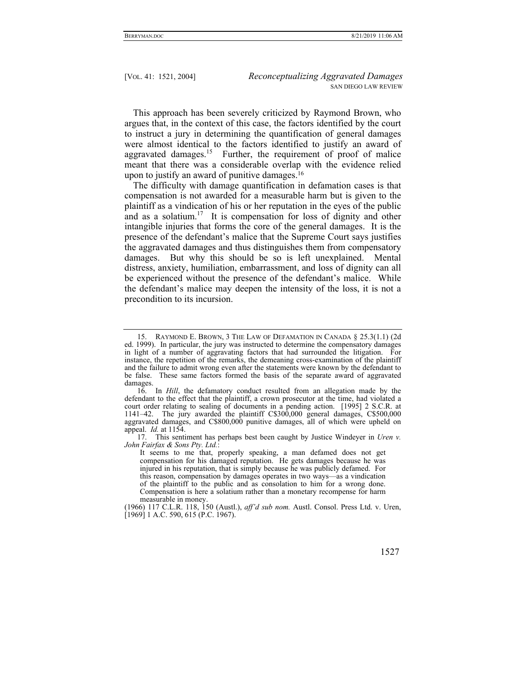This approach has been severely criticized by Raymond Brown, who argues that, in the context of this case, the factors identified by the court to instruct a jury in determining the quantification of general damages were almost identical to the factors identified to justify an award of aggravated damages.<sup>15</sup> Further, the requirement of proof of malice meant that there was a considerable overlap with the evidence relied upon to justify an award of punitive damages.16

The difficulty with damage quantification in defamation cases is that compensation is not awarded for a measurable harm but is given to the plaintiff as a vindication of his or her reputation in the eyes of the public and as a solatium.<sup>17</sup> It is compensation for loss of dignity and other intangible injuries that forms the core of the general damages. It is the presence of the defendant's malice that the Supreme Court says justifies the aggravated damages and thus distinguishes them from compensatory damages. But why this should be so is left unexplained. Mental distress, anxiety, humiliation, embarrassment, and loss of dignity can all be experienced without the presence of the defendant's malice. While the defendant's malice may deepen the intensity of the loss, it is not a precondition to its incursion.

 <sup>15.</sup> RAYMOND E. BROWN, 3 THE LAW OF DEFAMATION IN CANADA § 25.3(1.1) (2d ed. 1999). In particular, the jury was instructed to determine the compensatory damages in light of a number of aggravating factors that had surrounded the litigation. For instance, the repetition of the remarks, the demeaning cross-examination of the plaintiff and the failure to admit wrong even after the statements were known by the defendant to be false. These same factors formed the basis of the separate award of aggravated damages.

 <sup>16.</sup> In *Hill*, the defamatory conduct resulted from an allegation made by the defendant to the effect that the plaintiff, a crown prosecutor at the time, had violated a court order relating to sealing of documents in a pending action. [1995] 2 S.C.R. at 1141–42. The jury awarded the plaintiff C\$300,000 general damages, C\$500,000 aggravated damages, and C\$800,000 punitive damages, all of which were upheld on appeal. *Id.* at 1154.

 <sup>17.</sup> This sentiment has perhaps best been caught by Justice Windeyer in *Uren v. John Fairfax & Sons Pty. Ltd.*:

It seems to me that, properly speaking, a man defamed does not get compensation for his damaged reputation. He gets damages because he was injured in his reputation, that is simply because he was publicly defamed. For this reason, compensation by damages operates in two ways—as a vindication of the plaintiff to the public and as consolation to him for a wrong done. Compensation is here a solatium rather than a monetary recompense for harm measurable in money.

<sup>(1966) 117</sup> C.L.R. 118, 150 (Austl.), *aff'd sub nom.* Austl. Consol. Press Ltd. v. Uren, [1969] 1 A.C. 590, 615 (P.C. 1967).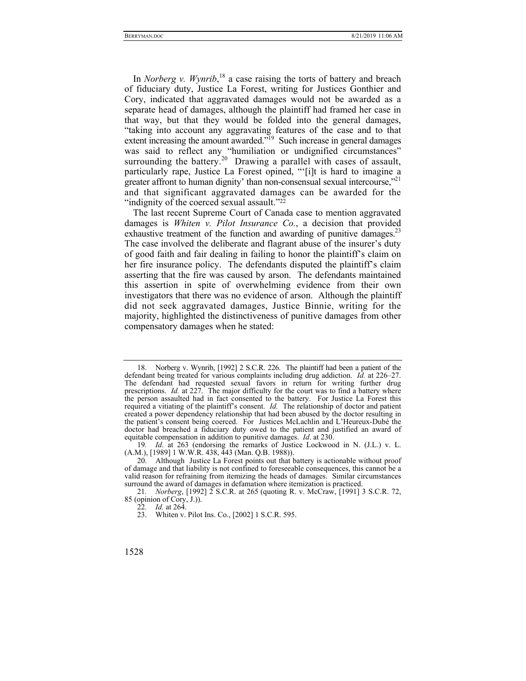In *Norberg v. Wynrib*<sup>18</sup> a case raising the torts of battery and breach of fiduciary duty, Justice La Forest, writing for Justices Gonthier and Cory, indicated that aggravated damages would not be awarded as a separate head of damages, although the plaintiff had framed her case in that way, but that they would be folded into the general damages, "taking into account any aggravating features of the case and to that extent increasing the amount awarded."<sup>19</sup> Such increase in general damages was said to reflect any "humiliation or undignified circumstances" surrounding the battery.<sup>20</sup> Drawing a parallel with cases of assault, particularly rape, Justice La Forest opined, "'[i]t is hard to imagine a greater affront to human dignity' than non-consensual sexual intercourse,"<sup>21</sup> and that significant aggravated damages can be awarded for the "indignity of the coerced sexual assault."<sup>22</sup>

The last recent Supreme Court of Canada case to mention aggravated damages is *Whiten v. Pilot Insurance Co.*, a decision that provided exhaustive treatment of the function and awarding of punitive damages.<sup>23</sup> The case involved the deliberate and flagrant abuse of the insurer's duty of good faith and fair dealing in failing to honor the plaintiff's claim on her fire insurance policy. The defendants disputed the plaintiff's claim asserting that the fire was caused by arson. The defendants maintained this assertion in spite of overwhelming evidence from their own investigators that there was no evidence of arson. Although the plaintiff did not seek aggravated damages, Justice Binnie, writing for the majority, highlighted the distinctiveness of punitive damages from other compensatory damages when he stated:

 <sup>18.</sup> Norberg v. Wynrib, [1992] 2 S.C.R. 226. The plaintiff had been a patient of the defendant being treated for various complaints including drug addiction. *Id.* at 226–27. The defendant had requested sexual favors in return for writing further drug prescriptions. *Id.* at 227. The major difficulty for the court was to find a battery where the person assaulted had in fact consented to the battery. For Justice La Forest this required a vitiating of the plaintiff's consent. *Id.* The relationship of doctor and patient created a power dependency relationship that had been abused by the doctor resulting in the patient's consent being coerced. For Justices McLachlin and L'Heureux-Dubé the doctor had breached a fiduciary duty owed to the patient and justified an award of equitable compensation in addition to punitive damages. *Id*. at 230.

<sup>19</sup>*. Id*. at 263 (endorsing the remarks of Justice Lockwood in N. (J.L.) v. L. (A.M.), [1989] 1 W.W.R. 438, 443 (Man. Q.B. 1988)).

 <sup>20.</sup> Although Justice La Forest points out that battery is actionable without proof of damage and that liability is not confined to foreseeable consequences, this cannot be a valid reason for refraining from itemizing the heads of damages. Similar circumstances surround the award of damages in defamation where itemization is practiced.

<sup>21</sup>*. Norberg*, [1992] 2 S.C.R. at 265 (quoting R. v. McCraw, [1991] 3 S.C.R. 72, 85 (opinion of Cory, J.)).

<sup>22</sup>*. Id.* at 264.

 <sup>23.</sup> Whiten v. Pilot Ins. Co., [2002] 1 S.C.R. 595.

<sup>1528</sup>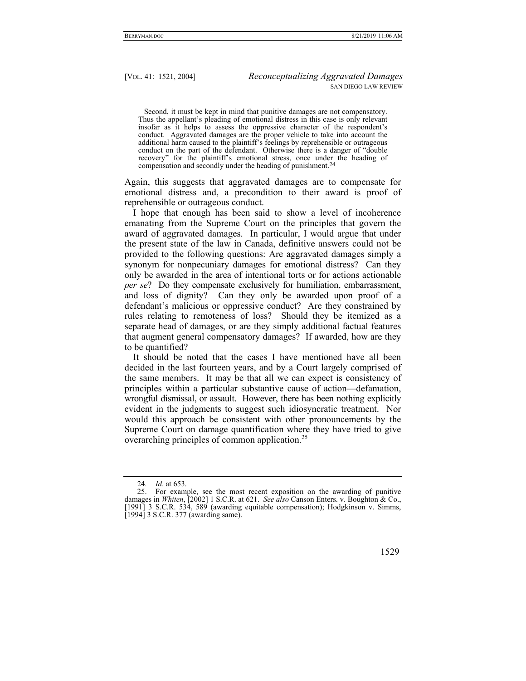Second, it must be kept in mind that punitive damages are not compensatory. Thus the appellant's pleading of emotional distress in this case is only relevant insofar as it helps to assess the oppressive character of the respondent's conduct. Aggravated damages are the proper vehicle to take into account the additional harm caused to the plaintiff's feelings by reprehensible or outrageous conduct on the part of the defendant. Otherwise there is a danger of "double recovery" for the plaintiff's emotional stress, once under the heading of compensation and secondly under the heading of punishment.24

Again, this suggests that aggravated damages are to compensate for emotional distress and, a precondition to their award is proof of reprehensible or outrageous conduct.

I hope that enough has been said to show a level of incoherence emanating from the Supreme Court on the principles that govern the award of aggravated damages. In particular, I would argue that under the present state of the law in Canada, definitive answers could not be provided to the following questions: Are aggravated damages simply a synonym for nonpecuniary damages for emotional distress? Can they only be awarded in the area of intentional torts or for actions actionable *per se*? Do they compensate exclusively for humiliation, embarrassment, and loss of dignity? Can they only be awarded upon proof of a defendant's malicious or oppressive conduct? Are they constrained by rules relating to remoteness of loss? Should they be itemized as a separate head of damages, or are they simply additional factual features that augment general compensatory damages? If awarded, how are they to be quantified?

It should be noted that the cases I have mentioned have all been decided in the last fourteen years, and by a Court largely comprised of the same members. It may be that all we can expect is consistency of principles within a particular substantive cause of action—defamation, wrongful dismissal, or assault. However, there has been nothing explicitly evident in the judgments to suggest such idiosyncratic treatment. Nor would this approach be consistent with other pronouncements by the Supreme Court on damage quantification where they have tried to give overarching principles of common application.<sup>25</sup>

 <sup>25.</sup> For example, see the most recent exposition on the awarding of punitive damages in *Whiten*, [2002] 1 S.C.R. at 621. *See also* Canson Enters. v. Boughton & Co., [1991] 3 S.C.R. 534, 589 (awarding equitable compensation); Hodgkinson v. Simms, [1994] 3 S.C.R. 377 (awarding same).



<sup>24</sup>*. Id*. at 653.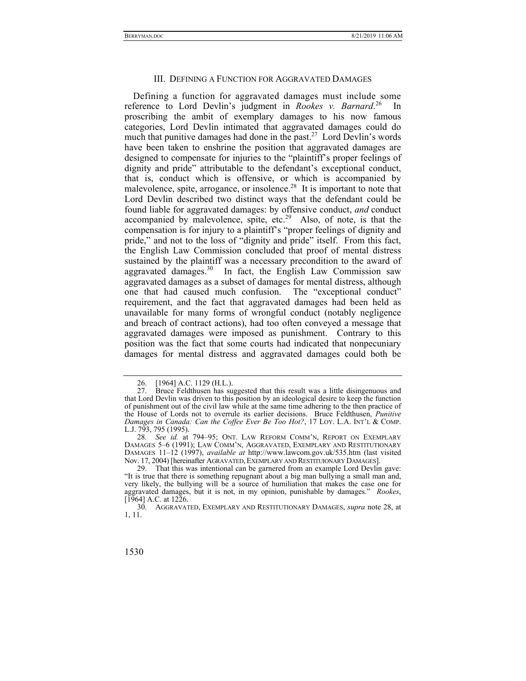Defining a function for aggravated damages must include some reference to Lord Devlin's judgment in *Rookes v. Barnard*. 26 In proscribing the ambit of exemplary damages to his now famous categories, Lord Devlin intimated that aggravated damages could do much that punitive damages had done in the past.<sup>27</sup> Lord Devlin's words have been taken to enshrine the position that aggravated damages are designed to compensate for injuries to the "plaintiff's proper feelings of dignity and pride" attributable to the defendant's exceptional conduct, that is, conduct which is offensive, or which is accompanied by malevolence, spite, arrogance, or insolence.<sup>28</sup> It is important to note that Lord Devlin described two distinct ways that the defendant could be found liable for aggravated damages: by offensive conduct, *and* conduct accompanied by malevolence, spite, etc.<sup>29</sup> Also, of note, is that the compensation is for injury to a plaintiff's "proper feelings of dignity and pride," and not to the loss of "dignity and pride" itself. From this fact, the English Law Commission concluded that proof of mental distress sustained by the plaintiff was a necessary precondition to the award of aggravated damages.<sup>30</sup> In fact, the English Law Commission saw aggravated damages as a subset of damages for mental distress, although one that had caused much confusion. The "exceptional conduct" requirement, and the fact that aggravated damages had been held as unavailable for many forms of wrongful conduct (notably negligence and breach of contract actions), had too often conveyed a message that aggravated damages were imposed as punishment. Contrary to this position was the fact that some courts had indicated that nonpecuniary damages for mental distress and aggravated damages could both be

<sup>26. [1964]</sup> A.C. 1129 (H.L.).<br>27. Bruce Feldthusen has su

Bruce Feldthusen has suggested that this result was a little disingenuous and that Lord Devlin was driven to this position by an ideological desire to keep the function of punishment out of the civil law while at the same time adhering to the then practice of the House of Lords not to overrule its earlier decisions. Bruce Feldthusen, *Punitive Damages in Canada: Can the Coffee Ever Be Too Hot?*, 17 LOY. L.A. INT'L & COMP. L.J. 793, 795 (1995).

<sup>28</sup>*. See id.* at 794–95; ONT. LAW REFORM COMM'N, REPORT ON EXEMPLARY DAMAGES 5–6 (1991); LAW COMM'N, AGGRAVATED, EXEMPLARY AND RESTITUTIONARY DAMAGES 11–12 (1997), *available at* http://www.lawcom.gov.uk/535.htm (last visited Nov. 17, 2004) [hereinafter AGRAVATED,EXEMPLARY AND RESTITUIONARY DAMAGES].

 <sup>29.</sup> That this was intentional can be garnered from an example Lord Devlin gave: "It is true that there is something repugnant about a big man bullying a small man and, very likely, the bullying will be a source of humiliation that makes the case one for aggravated damages, but it is not, in my opinion, punishable by damages." *Rookes*, [1964] A.C. at 1226.

 <sup>30.</sup> AGGRAVATED, EXEMPLARY AND RESTITUTIONARY DAMAGES, *supra* note 28, at 1, 11.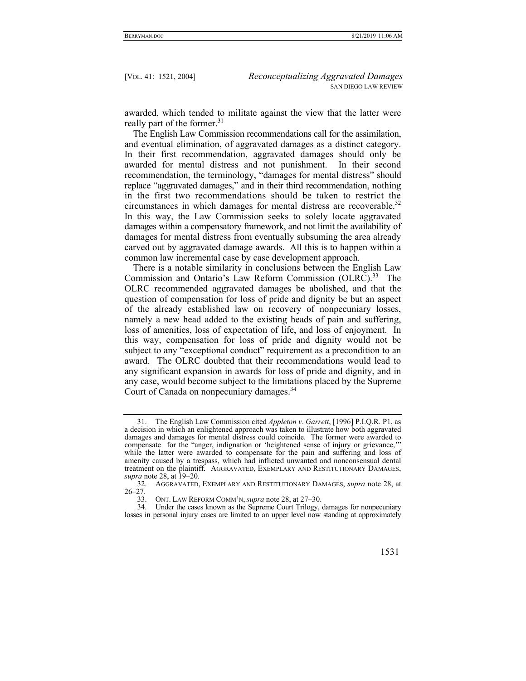awarded, which tended to militate against the view that the latter were really part of the former.<sup>31</sup>

The English Law Commission recommendations call for the assimilation, and eventual elimination, of aggravated damages as a distinct category. In their first recommendation, aggravated damages should only be awarded for mental distress and not punishment. In their second recommendation, the terminology, "damages for mental distress" should replace "aggravated damages," and in their third recommendation, nothing in the first two recommendations should be taken to restrict the circumstances in which damages for mental distress are recoverable.<sup>32</sup> In this way, the Law Commission seeks to solely locate aggravated damages within a compensatory framework, and not limit the availability of damages for mental distress from eventually subsuming the area already carved out by aggravated damage awards. All this is to happen within a common law incremental case by case development approach.

There is a notable similarity in conclusions between the English Law Commission and Ontario's Law Reform Commission (OLRC).<sup>33</sup> The OLRC recommended aggravated damages be abolished, and that the question of compensation for loss of pride and dignity be but an aspect of the already established law on recovery of nonpecuniary losses, namely a new head added to the existing heads of pain and suffering, loss of amenities, loss of expectation of life, and loss of enjoyment. In this way, compensation for loss of pride and dignity would not be subject to any "exceptional conduct" requirement as a precondition to an award. The OLRC doubted that their recommendations would lead to any significant expansion in awards for loss of pride and dignity, and in any case, would become subject to the limitations placed by the Supreme Court of Canada on nonpecuniary damages.<sup>34</sup>

 <sup>31.</sup> The English Law Commission cited *Appleton v. Garrett*, [1996] P.I.Q.R. P1, as a decision in which an enlightened approach was taken to illustrate how both aggravated damages and damages for mental distress could coincide. The former were awarded to compensate for the "anger, indignation or 'heightened sense of injury or grievance,'" while the latter were awarded to compensate for the pain and suffering and loss of amenity caused by a trespass, which had inflicted unwanted and nonconsensual dental treatment on the plaintiff. AGGRAVATED, EXEMPLARY AND RESTITUTIONARY DAMAGES, *supra* note 28, at 19–20.

 <sup>32.</sup> AGGRAVATED, EXEMPLARY AND RESTITUTIONARY DAMAGES, *supra* note 28, at 26–27.

 <sup>33.</sup> ONT. LAW REFORM COMM'N, *supra* note 28, at 27–30.

 <sup>34.</sup> Under the cases known as the Supreme Court Trilogy, damages for nonpecuniary losses in personal injury cases are limited to an upper level now standing at approximately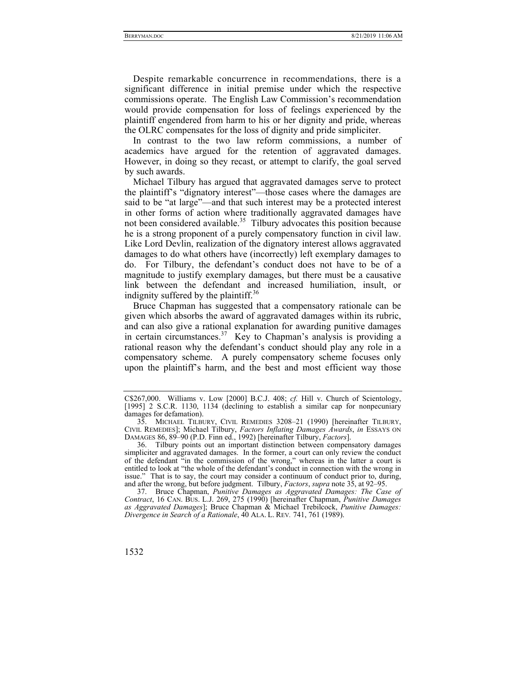Despite remarkable concurrence in recommendations, there is a significant difference in initial premise under which the respective commissions operate. The English Law Commission's recommendation would provide compensation for loss of feelings experienced by the plaintiff engendered from harm to his or her dignity and pride, whereas the OLRC compensates for the loss of dignity and pride simpliciter.

In contrast to the two law reform commissions, a number of academics have argued for the retention of aggravated damages. However, in doing so they recast, or attempt to clarify, the goal served by such awards.

Michael Tilbury has argued that aggravated damages serve to protect the plaintiff's "dignatory interest"—those cases where the damages are said to be "at large"—and that such interest may be a protected interest in other forms of action where traditionally aggravated damages have not been considered available.<sup>35</sup> Tilbury advocates this position because he is a strong proponent of a purely compensatory function in civil law. Like Lord Devlin, realization of the dignatory interest allows aggravated damages to do what others have (incorrectly) left exemplary damages to do. For Tilbury, the defendant's conduct does not have to be of a magnitude to justify exemplary damages, but there must be a causative link between the defendant and increased humiliation, insult, or indignity suffered by the plaintiff.<sup>36</sup>

Bruce Chapman has suggested that a compensatory rationale can be given which absorbs the award of aggravated damages within its rubric, and can also give a rational explanation for awarding punitive damages in certain circumstances.<sup>37</sup> Key to Chapman's analysis is providing a rational reason why the defendant's conduct should play any role in a compensatory scheme. A purely compensatory scheme focuses only upon the plaintiff's harm, and the best and most efficient way those

 <sup>37.</sup> Bruce Chapman, *Punitive Damages as Aggravated Damages: The Case of Contract*, 16 CAN. BUS. L.J. 269, 275 (1990) [hereinafter Chapman, *Punitive Damages as Aggravated Damages*]; Bruce Chapman & Michael Trebilcock, *Punitive Damages: Divergence in Search of a Rationale*, 40 ALA. L. REV*.* 741, 761 (1989).



C\$267,000. Williams v. Low [2000] B.C.J. 408; *cf.* Hill v. Church of Scientology, [1995] 2 S.C.R. 1130, 1134 (declining to establish a similar cap for nonpecuniary damages for defamation).

 <sup>35.</sup> MICHAEL TILBURY, CIVIL REMEDIES 3208–21 (1990) [hereinafter TILBURY, CIVIL REMEDIES]; Michael Tilbury, *Factors Inflating Damages Awards*, *in* ESSAYS ON DAMAGES 86, 89–90 (P.D. Finn ed., 1992) [hereinafter Tilbury, *Factors*].

 <sup>36.</sup> Tilbury points out an important distinction between compensatory damages simpliciter and aggravated damages. In the former, a court can only review the conduct of the defendant "in the commission of the wrong," whereas in the latter a court is entitled to look at "the whole of the defendant's conduct in connection with the wrong in issue." That is to say, the court may consider a continuum of conduct prior to, during, and after the wrong, but before judgment. Tilbury, *Factors*, *supra* note 35, at 92–95.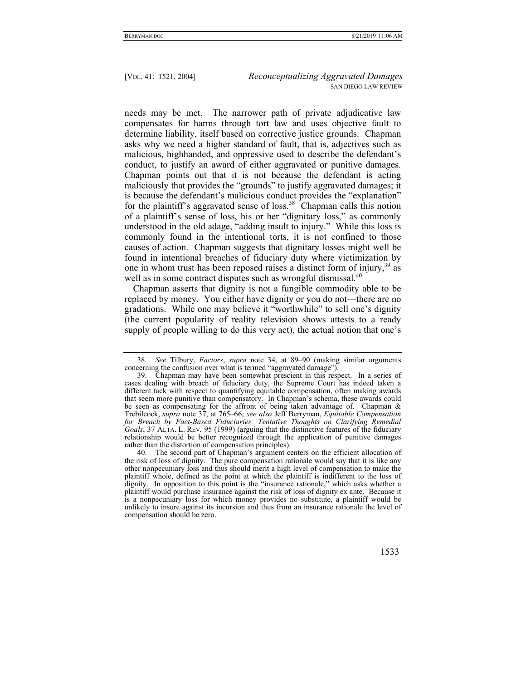needs may be met. The narrower path of private adjudicative law compensates for harms through tort law and uses objective fault to determine liability, itself based on corrective justice grounds. Chapman asks why we need a higher standard of fault, that is, adjectives such as malicious, highhanded, and oppressive used to describe the defendant's conduct, to justify an award of either aggravated or punitive damages. Chapman points out that it is not because the defendant is acting maliciously that provides the "grounds" to justify aggravated damages; it is because the defendant's malicious conduct provides the "explanation" for the plaintiff's aggravated sense of  $loss<sup>38</sup>$  Chapman calls this notion of a plaintiff's sense of loss, his or her "dignitary loss," as commonly understood in the old adage, "adding insult to injury." While this loss is commonly found in the intentional torts, it is not confined to those causes of action. Chapman suggests that dignitary losses might well be found in intentional breaches of fiduciary duty where victimization by one in whom trust has been reposed raises a distinct form of injury,<sup>39</sup> as well as in some contract disputes such as wrongful dismissal.<sup>40</sup>

Chapman asserts that dignity is not a fungible commodity able to be replaced by money. You either have dignity or you do not—there are no gradations. While one may believe it "worthwhile" to sell one's dignity (the current popularity of reality television shows attests to a ready supply of people willing to do this very act), the actual notion that one's

<sup>38</sup>*. See* Tilbury, *Factors*, *supra* note 34, at 89–90 (making similar arguments concerning the confusion over what is termed "aggravated damage").

 <sup>39.</sup> Chapman may have been somewhat prescient in this respect. In a series of cases dealing with breach of fiduciary duty, the Supreme Court has indeed taken a different tack with respect to quantifying equitable compensation, often making awards that seem more punitive than compensatory. In Chapman's schema, these awards could be seen as compensating for the affront of being taken advantage of. Chapman & Trebilcock, *supra* note 37, at 765–66; *see also* Jeff Berryman, *Equitable Compensation*  for Breach by Fact-Based Fiduciaries: Tentative Thoughts on Clarifying Remedial *Goals*, 37 ALTA. L. REV*.* 95 (1999) (arguing that the distinctive features of the fiduciary relationship would be better recognized through the application of punitive damages rather than the distortion of compensation principles).

 <sup>40.</sup> The second part of Chapman's argument centers on the efficient allocation of the risk of loss of dignity. The pure compensation rationale would say that it is like any other nonpecuniary loss and thus should merit a high level of compensation to make the plaintiff whole, defined as the point at which the plaintiff is indifferent to the loss of dignity. In opposition to this point is the "insurance rationale," which asks whether a plaintiff would purchase insurance against the risk of loss of dignity ex ante. Because it is a nonpecuniary loss for which money provides no substitute, a plaintiff would be unlikely to insure against its incursion and thus from an insurance rationale the level of compensation should be zero.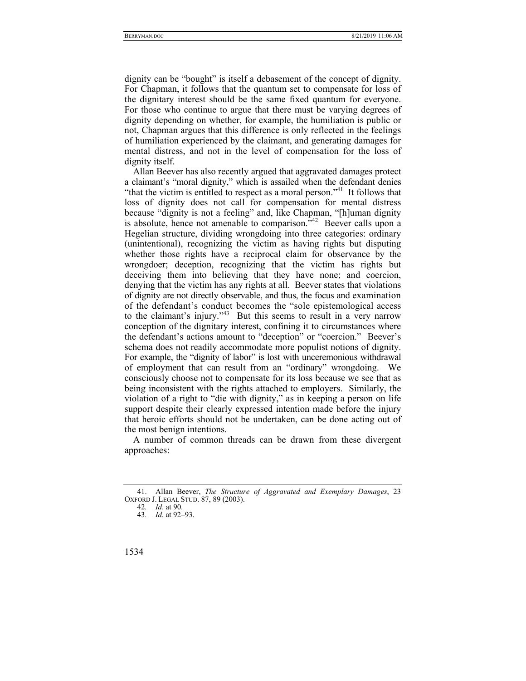dignity can be "bought" is itself a debasement of the concept of dignity. For Chapman, it follows that the quantum set to compensate for loss of the dignitary interest should be the same fixed quantum for everyone. For those who continue to argue that there must be varying degrees of dignity depending on whether, for example, the humiliation is public or not, Chapman argues that this difference is only reflected in the feelings of humiliation experienced by the claimant, and generating damages for mental distress, and not in the level of compensation for the loss of dignity itself.

Allan Beever has also recently argued that aggravated damages protect a claimant's "moral dignity," which is assailed when the defendant denies "that the victim is entitled to respect as a moral person."<sup>41</sup> It follows that loss of dignity does not call for compensation for mental distress because "dignity is not a feeling" and, like Chapman, "[h]uman dignity is absolute, hence not amenable to comparison. $542$  Beever calls upon a Hegelian structure, dividing wrongdoing into three categories: ordinary (unintentional), recognizing the victim as having rights but disputing whether those rights have a reciprocal claim for observance by the wrongdoer; deception, recognizing that the victim has rights but deceiving them into believing that they have none; and coercion, denying that the victim has any rights at all. Beever states that violations of dignity are not directly observable, and thus, the focus and examination of the defendant's conduct becomes the "sole epistemological access to the claimant's injury."<sup>43</sup> But this seems to result in a very narrow conception of the dignitary interest, confining it to circumstances where the defendant's actions amount to "deception" or "coercion." Beever's schema does not readily accommodate more populist notions of dignity. For example, the "dignity of labor" is lost with unceremonious withdrawal of employment that can result from an "ordinary" wrongdoing. We consciously choose not to compensate for its loss because we see that as being inconsistent with the rights attached to employers. Similarly, the violation of a right to "die with dignity," as in keeping a person on life support despite their clearly expressed intention made before the injury that heroic efforts should not be undertaken, can be done acting out of the most benign intentions.

A number of common threads can be drawn from these divergent approaches:

 <sup>41.</sup> Allan Beever, *The Structure of Aggravated and Exemplary Damages*, 23 OXFORD J. LEGAL STUD. 87, 89 (2003).

<sup>42</sup>*. Id*. at 90.

<sup>43</sup>*. Id.* at 92–93.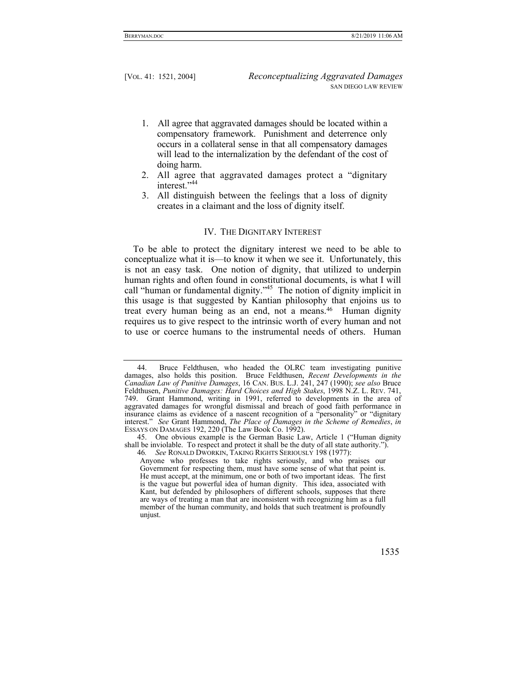- 1. All agree that aggravated damages should be located within a compensatory framework. Punishment and deterrence only occurs in a collateral sense in that all compensatory damages will lead to the internalization by the defendant of the cost of doing harm.
- 2. All agree that aggravated damages protect a "dignitary interest."44
- 3. All distinguish between the feelings that a loss of dignity creates in a claimant and the loss of dignity itself.

### IV. THE DIGNITARY INTEREST

To be able to protect the dignitary interest we need to be able to conceptualize what it is—to know it when we see it. Unfortunately, this is not an easy task. One notion of dignity, that utilized to underpin human rights and often found in constitutional documents, is what I will call "human or fundamental dignity."<sup>45</sup> The notion of dignity implicit in this usage is that suggested by Kantian philosophy that enjoins us to treat every human being as an end, not a means.<sup>46</sup> Human dignity requires us to give respect to the intrinsic worth of every human and not to use or coerce humans to the instrumental needs of others. Human

Anyone who professes to take rights seriously, and who praises our Government for respecting them, must have some sense of what that point is. He must accept, at the minimum, one or both of two important ideas. The first is the vague but powerful idea of human dignity. This idea, associated with Kant, but defended by philosophers of different schools, supposes that there are ways of treating a man that are inconsistent with recognizing him as a full member of the human community, and holds that such treatment is profoundly unjust.



 <sup>44.</sup> Bruce Feldthusen, who headed the OLRC team investigating punitive damages, also holds this position. Bruce Feldthusen, *Recent Developments in the Canadian Law of Punitive Damages*, 16 CAN. BUS. L.J. 241, 247 (1990); *see also* Bruce Feldthusen, *Punitive Damages: Hard Choices and High Stakes*, 1998 N.Z. L. REV. 741, 749. Grant Hammond, writing in 1991, referred to developments in the area of aggravated damages for wrongful dismissal and breach of good faith performance in insurance claims as evidence of a nascent recognition of a "personality" or "dignitary interest." *See* Grant Hammond, *The Place of Damages in the Scheme of Remedies*, *in* ESSAYS ON DAMAGES 192, 220 (The Law Book Co. 1992).

 <sup>45.</sup> One obvious example is the German Basic Law, Article 1 ("Human dignity shall be inviolable. To respect and protect it shall be the duty of all state authority.").

<sup>46</sup>*. See* RONALD DWORKIN, TAKING RIGHTS SERIOUSLY 198 (1977):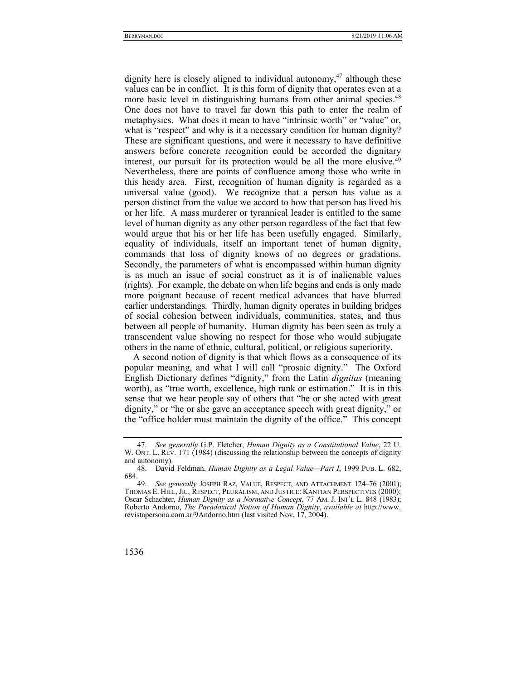dignity here is closely aligned to individual autonomy.<sup>47</sup> although these values can be in conflict. It is this form of dignity that operates even at a more basic level in distinguishing humans from other animal species.<sup>48</sup> One does not have to travel far down this path to enter the realm of metaphysics. What does it mean to have "intrinsic worth" or "value" or, what is "respect" and why is it a necessary condition for human dignity? These are significant questions, and were it necessary to have definitive answers before concrete recognition could be accorded the dignitary interest, our pursuit for its protection would be all the more elusive.<sup>49</sup> Nevertheless, there are points of confluence among those who write in this heady area. First, recognition of human dignity is regarded as a universal value (good). We recognize that a person has value as a person distinct from the value we accord to how that person has lived his or her life. A mass murderer or tyrannical leader is entitled to the same level of human dignity as any other person regardless of the fact that few would argue that his or her life has been usefully engaged. Similarly, equality of individuals, itself an important tenet of human dignity, commands that loss of dignity knows of no degrees or gradations. Secondly, the parameters of what is encompassed within human dignity is as much an issue of social construct as it is of inalienable values (rights). For example, the debate on when life begins and ends is only made more poignant because of recent medical advances that have blurred earlier understandings. Thirdly, human dignity operates in building bridges of social cohesion between individuals, communities, states, and thus between all people of humanity. Human dignity has been seen as truly a transcendent value showing no respect for those who would subjugate others in the name of ethnic, cultural, political, or religious superiority.

A second notion of dignity is that which flows as a consequence of its popular meaning, and what I will call "prosaic dignity." The Oxford English Dictionary defines "dignity," from the Latin *dignitas* (meaning worth), as "true worth, excellence, high rank or estimation." It is in this sense that we hear people say of others that "he or she acted with great dignity," or "he or she gave an acceptance speech with great dignity," or the "office holder must maintain the dignity of the office." This concept

See generally JOSEPH RAZ, VALUE, RESPECT, AND ATTACHMENT 124-76 (2001); THOMAS E. HILL, JR., RESPECT, PLURALISM, AND JUSTICE: KANTIAN PERSPECTIVES (2000); Oscar Schachter, *Human Dignity as a Normative Concept*, 77 AM. J. INT'L L. 848 (1983); Roberto Andorno, *The Paradoxical Notion of Human Dignity*, *available at* http://www. revistapersona.com.ar/9Andorno.htm (last visited Nov. 17, 2004).



<sup>47</sup>*. See generally* G.P. Fletcher, *Human Dignity as a Constitutional Value*, 22 U. W. ONT. L. REV. 171 (1984) (discussing the relationship between the concepts of dignity and autonomy).

 <sup>48.</sup> David Feldman, *Human Dignity as a Legal Value—Part I*, 1999 PUB. L. 682,  $684.49$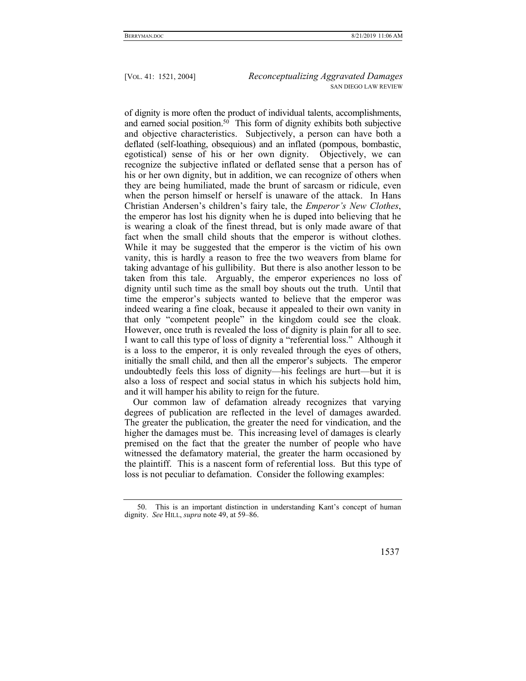of dignity is more often the product of individual talents, accomplishments, and earned social position.50 This form of dignity exhibits both subjective and objective characteristics. Subjectively, a person can have both a deflated (self-loathing, obsequious) and an inflated (pompous, bombastic, egotistical) sense of his or her own dignity. Objectively, we can recognize the subjective inflated or deflated sense that a person has of his or her own dignity, but in addition, we can recognize of others when they are being humiliated, made the brunt of sarcasm or ridicule, even when the person himself or herself is unaware of the attack. In Hans Christian Andersen's children's fairy tale, the *Emperor's New Clothes*, the emperor has lost his dignity when he is duped into believing that he is wearing a cloak of the finest thread, but is only made aware of that fact when the small child shouts that the emperor is without clothes. While it may be suggested that the emperor is the victim of his own vanity, this is hardly a reason to free the two weavers from blame for taking advantage of his gullibility. But there is also another lesson to be taken from this tale. Arguably, the emperor experiences no loss of dignity until such time as the small boy shouts out the truth. Until that time the emperor's subjects wanted to believe that the emperor was indeed wearing a fine cloak, because it appealed to their own vanity in that only "competent people" in the kingdom could see the cloak. However, once truth is revealed the loss of dignity is plain for all to see. I want to call this type of loss of dignity a "referential loss." Although it is a loss to the emperor, it is only revealed through the eyes of others, initially the small child, and then all the emperor's subjects. The emperor undoubtedly feels this loss of dignity—his feelings are hurt—but it is also a loss of respect and social status in which his subjects hold him, and it will hamper his ability to reign for the future.

Our common law of defamation already recognizes that varying degrees of publication are reflected in the level of damages awarded. The greater the publication, the greater the need for vindication, and the higher the damages must be. This increasing level of damages is clearly premised on the fact that the greater the number of people who have witnessed the defamatory material, the greater the harm occasioned by the plaintiff. This is a nascent form of referential loss. But this type of loss is not peculiar to defamation. Consider the following examples:

 <sup>50.</sup> This is an important distinction in understanding Kant's concept of human dignity. *See* HILL, *supra* note 49, at 59–86.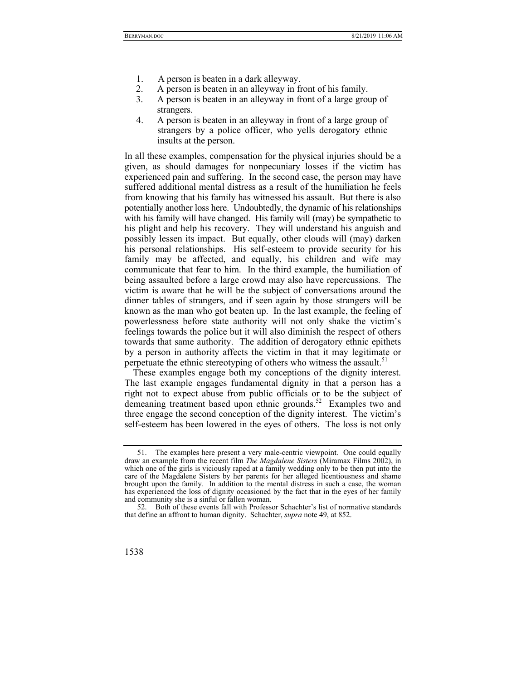- 1. A person is beaten in a dark alleyway.
- 2. A person is beaten in an alleyway in front of his family.
- 3. A person is beaten in an alleyway in front of a large group of strangers.
- 4. A person is beaten in an alleyway in front of a large group of strangers by a police officer, who yells derogatory ethnic insults at the person.

In all these examples, compensation for the physical injuries should be a given, as should damages for nonpecuniary losses if the victim has experienced pain and suffering. In the second case, the person may have suffered additional mental distress as a result of the humiliation he feels from knowing that his family has witnessed his assault. But there is also potentially another loss here. Undoubtedly, the dynamic of his relationships with his family will have changed. His family will (may) be sympathetic to his plight and help his recovery. They will understand his anguish and possibly lessen its impact. But equally, other clouds will (may) darken his personal relationships. His self-esteem to provide security for his family may be affected, and equally, his children and wife may communicate that fear to him. In the third example, the humiliation of being assaulted before a large crowd may also have repercussions. The victim is aware that he will be the subject of conversations around the dinner tables of strangers, and if seen again by those strangers will be known as the man who got beaten up. In the last example, the feeling of powerlessness before state authority will not only shake the victim's feelings towards the police but it will also diminish the respect of others towards that same authority. The addition of derogatory ethnic epithets by a person in authority affects the victim in that it may legitimate or perpetuate the ethnic stereotyping of others who witness the assault.<sup>51</sup>

These examples engage both my conceptions of the dignity interest. The last example engages fundamental dignity in that a person has a right not to expect abuse from public officials or to be the subject of demeaning treatment based upon ethnic grounds.<sup>52</sup> Examples two and three engage the second conception of the dignity interest. The victim's self-esteem has been lowered in the eyes of others. The loss is not only

 <sup>52.</sup> Both of these events fall with Professor Schachter's list of normative standards that define an affront to human dignity. Schachter, *supra* note 49, at 852.



 <sup>51.</sup> The examples here present a very male-centric viewpoint. One could equally draw an example from the recent film *The Magdalene Sisters* (Miramax Films 2002), in which one of the girls is viciously raped at a family wedding only to be then put into the care of the Magdalene Sisters by her parents for her alleged licentiousness and shame brought upon the family. In addition to the mental distress in such a case, the woman has experienced the loss of dignity occasioned by the fact that in the eyes of her family and community she is a sinful or fallen woman.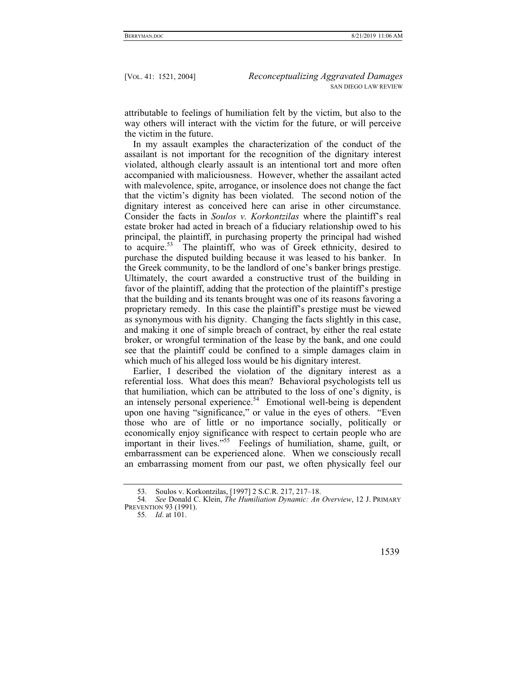attributable to feelings of humiliation felt by the victim, but also to the way others will interact with the victim for the future, or will perceive the victim in the future.

In my assault examples the characterization of the conduct of the assailant is not important for the recognition of the dignitary interest violated, although clearly assault is an intentional tort and more often accompanied with maliciousness. However, whether the assailant acted with malevolence, spite, arrogance, or insolence does not change the fact that the victim's dignity has been violated. The second notion of the dignitary interest as conceived here can arise in other circumstance. Consider the facts in *Soulos v. Korkontzilas* where the plaintiff's real estate broker had acted in breach of a fiduciary relationship owed to his principal, the plaintiff, in purchasing property the principal had wished to acquire.<sup>53</sup> The plaintiff, who was of Greek ethnicity, desired to purchase the disputed building because it was leased to his banker. In the Greek community, to be the landlord of one's banker brings prestige. Ultimately, the court awarded a constructive trust of the building in favor of the plaintiff, adding that the protection of the plaintiff's prestige that the building and its tenants brought was one of its reasons favoring a proprietary remedy. In this case the plaintiff's prestige must be viewed as synonymous with his dignity. Changing the facts slightly in this case, and making it one of simple breach of contract, by either the real estate broker, or wrongful termination of the lease by the bank, and one could see that the plaintiff could be confined to a simple damages claim in which much of his alleged loss would be his dignitary interest.

Earlier, I described the violation of the dignitary interest as a referential loss. What does this mean? Behavioral psychologists tell us that humiliation, which can be attributed to the loss of one's dignity, is an intensely personal experience.<sup>54</sup> Emotional well-being is dependent upon one having "significance," or value in the eyes of others. "Even those who are of little or no importance socially, politically or economically enjoy significance with respect to certain people who are important in their lives."<sup>55</sup> Feelings of humiliation, shame, guilt, or embarrassment can be experienced alone. When we consciously recall an embarrassing moment from our past, we often physically feel our

<sup>55</sup>*. Id*. at 101.



 <sup>53.</sup> Soulos v. Korkontzilas, [1997] 2 S.C.R. 217, 217–18.

<sup>54</sup>*. See* Donald C. Klein, *The Humiliation Dynamic: An Overview*, 12 J. PRIMARY PREVENTION 93 (1991).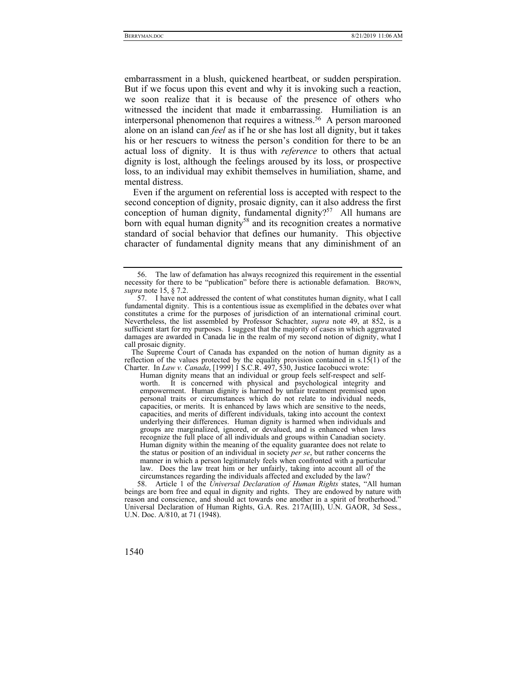embarrassment in a blush, quickened heartbeat, or sudden perspiration. But if we focus upon this event and why it is invoking such a reaction, we soon realize that it is because of the presence of others who witnessed the incident that made it embarrassing. Humiliation is an interpersonal phenomenon that requires a witness.<sup>56</sup> A person marooned alone on an island can *feel* as if he or she has lost all dignity, but it takes his or her rescuers to witness the person's condition for there to be an actual loss of dignity. It is thus with *reference* to others that actual dignity is lost, although the feelings aroused by its loss, or prospective loss, to an individual may exhibit themselves in humiliation, shame, and mental distress.

Even if the argument on referential loss is accepted with respect to the second conception of dignity, prosaic dignity, can it also address the first conception of human dignity, fundamental dignity?<sup>57</sup> All humans are born with equal human dignity<sup>58</sup> and its recognition creates a normative standard of social behavior that defines our humanity. This objective character of fundamental dignity means that any diminishment of an

 58. Article 1 of the *Universal Declaration of Human Rights* states, "All human beings are born free and equal in dignity and rights. They are endowed by nature with reason and conscience, and should act towards one another in a spirit of brotherhood." Universal Declaration of Human Rights, G.A. Res. 217A(III), U.N. GAOR, 3d Sess., U.N. Doc. A/810, at 71 (1948).

 <sup>56.</sup> The law of defamation has always recognized this requirement in the essential necessity for there to be "publication" before there is actionable defamation. BROWN, *supra* note 15, § 7.2.

 <sup>57.</sup> I have not addressed the content of what constitutes human dignity, what I call fundamental dignity. This is a contentious issue as exemplified in the debates over what constitutes a crime for the purposes of jurisdiction of an international criminal court. Nevertheless, the list assembled by Professor Schachter, *supra* note 49, at 852, is a sufficient start for my purposes. I suggest that the majority of cases in which aggravated damages are awarded in Canada lie in the realm of my second notion of dignity, what I call prosaic dignity.

The Supreme Court of Canada has expanded on the notion of human dignity as a reflection of the values protected by the equality provision contained in  $s.15(1)$  of the Charter. In *Law v. Canada*, [1999] 1 S.C.R. 497, 530, Justice Iacobucci wrote:

Human dignity means that an individual or group feels self-respect and selfworth. It is concerned with physical and psychological integrity and empowerment. Human dignity is harmed by unfair treatment premised upon personal traits or circumstances which do not relate to individual needs, capacities, or merits. It is enhanced by laws which are sensitive to the needs, capacities, and merits of different individuals, taking into account the context underlying their differences. Human dignity is harmed when individuals and groups are marginalized, ignored, or devalued, and is enhanced when laws recognize the full place of all individuals and groups within Canadian society. Human dignity within the meaning of the equality guarantee does not relate to the status or position of an individual in society *per se*, but rather concerns the manner in which a person legitimately feels when confronted with a particular law. Does the law treat him or her unfairly, taking into account all of the circumstances regarding the individuals affected and excluded by the law?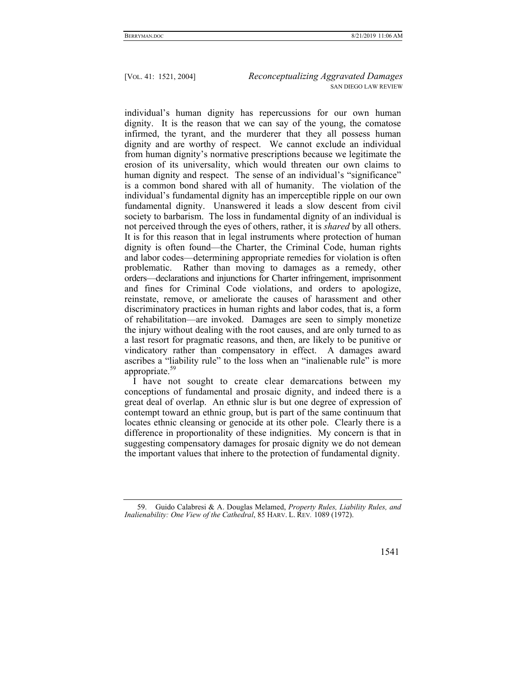individual's human dignity has repercussions for our own human dignity. It is the reason that we can say of the young, the comatose infirmed, the tyrant, and the murderer that they all possess human dignity and are worthy of respect. We cannot exclude an individual from human dignity's normative prescriptions because we legitimate the erosion of its universality, which would threaten our own claims to human dignity and respect. The sense of an individual's "significance" is a common bond shared with all of humanity. The violation of the individual's fundamental dignity has an imperceptible ripple on our own fundamental dignity. Unanswered it leads a slow descent from civil society to barbarism. The loss in fundamental dignity of an individual is not perceived through the eyes of others, rather, it is *shared* by all others. It is for this reason that in legal instruments where protection of human dignity is often found—the Charter, the Criminal Code, human rights and labor codes—determining appropriate remedies for violation is often problematic. Rather than moving to damages as a remedy, other orders—declarations and injunctions for Charter infringement, imprisonment and fines for Criminal Code violations, and orders to apologize, reinstate, remove, or ameliorate the causes of harassment and other discriminatory practices in human rights and labor codes, that is, a form of rehabilitation—are invoked. Damages are seen to simply monetize the injury without dealing with the root causes, and are only turned to as a last resort for pragmatic reasons, and then, are likely to be punitive or vindicatory rather than compensatory in effect. A damages award ascribes a "liability rule" to the loss when an "inalienable rule" is more appropriate.<sup>59</sup>

I have not sought to create clear demarcations between my conceptions of fundamental and prosaic dignity, and indeed there is a great deal of overlap. An ethnic slur is but one degree of expression of contempt toward an ethnic group, but is part of the same continuum that locates ethnic cleansing or genocide at its other pole. Clearly there is a difference in proportionality of these indignities. My concern is that in suggesting compensatory damages for prosaic dignity we do not demean the important values that inhere to the protection of fundamental dignity.

 <sup>59.</sup> Guido Calabresi & A. Douglas Melamed, *Property Rules, Liability Rules, and Inalienability: One View of the Cathedral*, 85 HARV. L. REV*.* 1089 (1972).

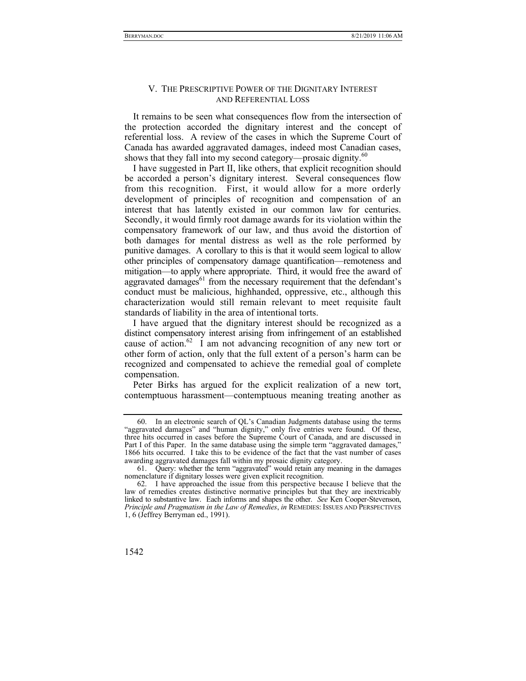## V. THE PRESCRIPTIVE POWER OF THE DIGNITARY INTEREST AND REFERENTIAL LOSS

It remains to be seen what consequences flow from the intersection of the protection accorded the dignitary interest and the concept of referential loss. A review of the cases in which the Supreme Court of Canada has awarded aggravated damages, indeed most Canadian cases, shows that they fall into my second category—prosaic dignity. $60$ 

I have suggested in Part II, like others, that explicit recognition should be accorded a person's dignitary interest. Several consequences flow from this recognition. First, it would allow for a more orderly development of principles of recognition and compensation of an interest that has latently existed in our common law for centuries. Secondly, it would firmly root damage awards for its violation within the compensatory framework of our law, and thus avoid the distortion of both damages for mental distress as well as the role performed by punitive damages. A corollary to this is that it would seem logical to allow other principles of compensatory damage quantification—remoteness and mitigation—to apply where appropriate. Third, it would free the award of aggravated damages<sup>61</sup> from the necessary requirement that the defendant's conduct must be malicious, highhanded, oppressive, etc., although this characterization would still remain relevant to meet requisite fault standards of liability in the area of intentional torts.

I have argued that the dignitary interest should be recognized as a distinct compensatory interest arising from infringement of an established cause of action.<sup>62</sup> I am not advancing recognition of any new tort or other form of action, only that the full extent of a person's harm can be recognized and compensated to achieve the remedial goal of complete compensation.

Peter Birks has argued for the explicit realization of a new tort, contemptuous harassment—contemptuous meaning treating another as

 <sup>62.</sup> I have approached the issue from this perspective because I believe that the law of remedies creates distinctive normative principles but that they are inextricably linked to substantive law. Each informs and shapes the other. *See* Ken Cooper-Stevenson, *Principle and Pragmatism in the Law of Remedies*, *in* REMEDIES: ISSUES AND PERSPECTIVES 1, 6 (Jeffrey Berryman ed., 1991).



 <sup>60.</sup> In an electronic search of QL's Canadian Judgments database using the terms "aggravated damages" and "human dignity," only five entries were found. Of these, three hits occurred in cases before the Supreme Court of Canada, and are discussed in Part I of this Paper. In the same database using the simple term "aggravated damages," 1866 hits occurred. I take this to be evidence of the fact that the vast number of cases awarding aggravated damages fall within my prosaic dignity category.

 <sup>61.</sup> Query: whether the term "aggravated" would retain any meaning in the damages nomenclature if dignitary losses were given explicit recognition.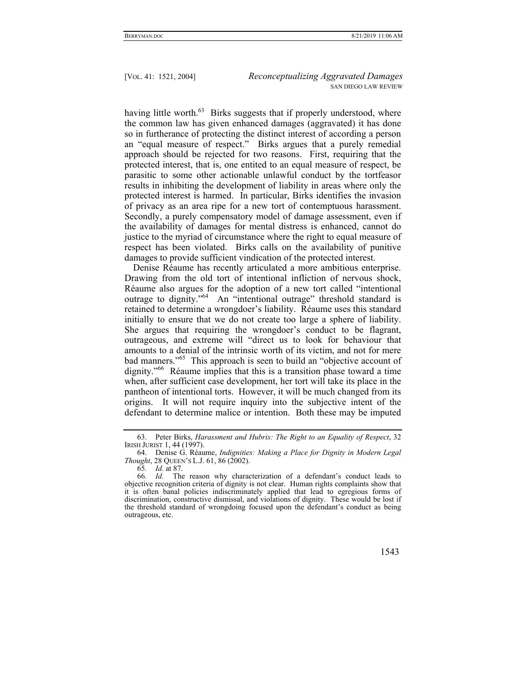having little worth.<sup>63</sup> Birks suggests that if properly understood, where the common law has given enhanced damages (aggravated) it has done so in furtherance of protecting the distinct interest of according a person an "equal measure of respect." Birks argues that a purely remedial approach should be rejected for two reasons. First, requiring that the protected interest, that is, one entited to an equal measure of respect, be parasitic to some other actionable unlawful conduct by the tortfeasor results in inhibiting the development of liability in areas where only the protected interest is harmed. In particular, Birks identifies the invasion of privacy as an area ripe for a new tort of contemptuous harassment. Secondly, a purely compensatory model of damage assessment, even if the availability of damages for mental distress is enhanced, cannot do justice to the myriad of circumstance where the right to equal measure of respect has been violated. Birks calls on the availability of punitive damages to provide sufficient vindication of the protected interest.

Denise Réaume has recently articulated a more ambitious enterprise. Drawing from the old tort of intentional infliction of nervous shock, Réaume also argues for the adoption of a new tort called "intentional outrage to dignity."64 An "intentional outrage" threshold standard is retained to determine a wrongdoer's liability. Réaume uses this standard initially to ensure that we do not create too large a sphere of liability. She argues that requiring the wrongdoer's conduct to be flagrant, outrageous, and extreme will "direct us to look for behaviour that amounts to a denial of the intrinsic worth of its victim, and not for mere bad manners."65 This approach is seen to build an "objective account of dignity."66 Réaume implies that this is a transition phase toward a time when, after sufficient case development, her tort will take its place in the pantheon of intentional torts. However, it will be much changed from its origins. It will not require inquiry into the subjective intent of the defendant to determine malice or intention. Both these may be imputed

<sup>66</sup>*. Id.* The reason why characterization of a defendant's conduct leads to objective recognition criteria of dignity is not clear. Human rights complaints show that it is often banal policies indiscriminately applied that lead to egregious forms of discrimination, constructive dismissal, and violations of dignity. These would be lost if the threshold standard of wrongdoing focused upon the defendant's conduct as being outrageous, etc.



 <sup>63.</sup> Peter Birks, *Harassment and Hubris: The Right to an Equality of Respect*, 32 IRISH JURIST 1, 44 (1997).

 <sup>64.</sup> Denise G. Réaume, *Indignities: Making a Place for Dignity in Modern Legal Thought*, 28 QUEEN's L.J. 61, 86 (2002).

<sup>65</sup>*. Id*. at 87.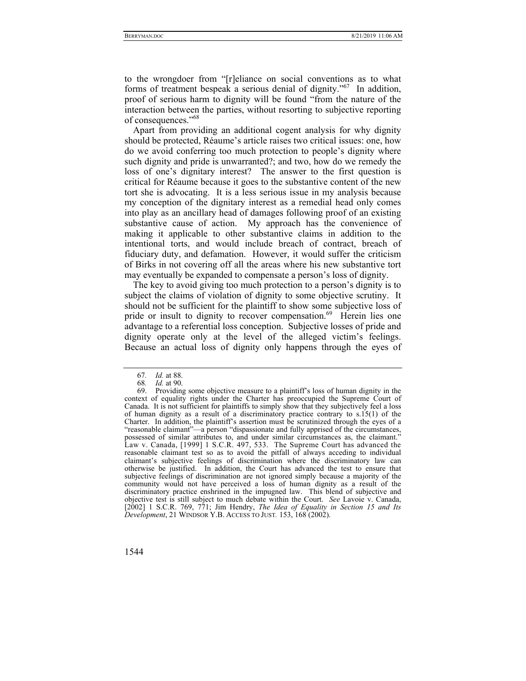to the wrongdoer from "[r]eliance on social conventions as to what forms of treatment bespeak a serious denial of dignity."67 In addition, proof of serious harm to dignity will be found "from the nature of the interaction between the parties, without resorting to subjective reporting of consequences."<sup>68</sup>

Apart from providing an additional cogent analysis for why dignity should be protected, Réaume's article raises two critical issues: one, how do we avoid conferring too much protection to people's dignity where such dignity and pride is unwarranted?; and two, how do we remedy the loss of one's dignitary interest? The answer to the first question is critical for Réaume because it goes to the substantive content of the new tort she is advocating. It is a less serious issue in my analysis because my conception of the dignitary interest as a remedial head only comes into play as an ancillary head of damages following proof of an existing substantive cause of action. My approach has the convenience of making it applicable to other substantive claims in addition to the intentional torts, and would include breach of contract, breach of fiduciary duty, and defamation. However, it would suffer the criticism of Birks in not covering off all the areas where his new substantive tort may eventually be expanded to compensate a person's loss of dignity.

The key to avoid giving too much protection to a person's dignity is to subject the claims of violation of dignity to some objective scrutiny. It should not be sufficient for the plaintiff to show some subjective loss of pride or insult to dignity to recover compensation.<sup>69</sup> Herein lies one advantage to a referential loss conception. Subjective losses of pride and dignity operate only at the level of the alleged victim's feelings. Because an actual loss of dignity only happens through the eyes of

<sup>67</sup>*. Id.* at 88.

<sup>68</sup>*. Id.* at 90.

 <sup>69.</sup> Providing some objective measure to a plaintiff's loss of human dignity in the context of equality rights under the Charter has preoccupied the Supreme Court of Canada. It is not sufficient for plaintiffs to simply show that they subjectively feel a loss of human dignity as a result of a discriminatory practice contrary to s.15(1) of the Charter. In addition, the plaintiff's assertion must be scrutinized through the eyes of a "reasonable claimant"—a person "dispassionate and fully apprised of the circumstances, possessed of similar attributes to, and under similar circumstances as, the claimant." Law v. Canada, [1999] 1 S.C.R. 497, 533. The Supreme Court has advanced the reasonable claimant test so as to avoid the pitfall of always acceding to individual claimant's subjective feelings of discrimination where the discriminatory law can otherwise be justified. In addition, the Court has advanced the test to ensure that subjective feelings of discrimination are not ignored simply because a majority of the community would not have perceived a loss of human dignity as a result of the discriminatory practice enshrined in the impugned law. This blend of subjective and objective test is still subject to much debate within the Court. *See* Lavoie v. Canada, [2002] 1 S.C.R. 769, 771; Jim Hendry, *The Idea of Equality in Section 15 and Its Development*, 21 WINDSOR Y.B. ACCESS TO JUST*.* 153, 168 (2002).

<sup>1544</sup>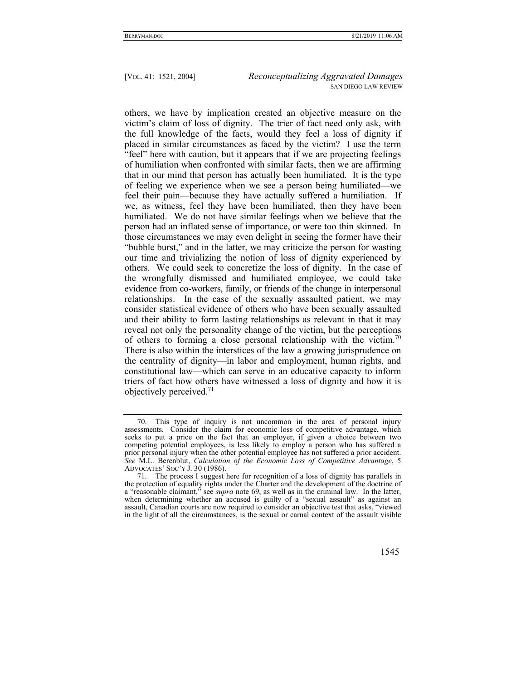others, we have by implication created an objective measure on the victim's claim of loss of dignity. The trier of fact need only ask, with the full knowledge of the facts, would they feel a loss of dignity if placed in similar circumstances as faced by the victim? I use the term "feel" here with caution, but it appears that if we are projecting feelings of humiliation when confronted with similar facts, then we are affirming that in our mind that person has actually been humiliated. It is the type of feeling we experience when we see a person being humiliated—we feel their pain—because they have actually suffered a humiliation. If we, as witness, feel they have been humiliated, then they have been humiliated. We do not have similar feelings when we believe that the person had an inflated sense of importance, or were too thin skinned. In those circumstances we may even delight in seeing the former have their "bubble burst," and in the latter, we may criticize the person for wasting our time and trivializing the notion of loss of dignity experienced by others. We could seek to concretize the loss of dignity. In the case of the wrongfully dismissed and humiliated employee, we could take evidence from co-workers, family, or friends of the change in interpersonal relationships. In the case of the sexually assaulted patient, we may consider statistical evidence of others who have been sexually assaulted and their ability to form lasting relationships as relevant in that it may reveal not only the personality change of the victim, but the perceptions of others to forming a close personal relationship with the victim.<sup>70</sup> There is also within the interstices of the law a growing jurisprudence on the centrality of dignity—in labor and employment, human rights, and constitutional law—which can serve in an educative capacity to inform triers of fact how others have witnessed a loss of dignity and how it is objectively perceived.<sup>71</sup>

 <sup>71.</sup> The process I suggest here for recognition of a loss of dignity has parallels in the protection of equality rights under the Charter and the development of the doctrine of a "reasonable claimant," see *supra* note 69, as well as in the criminal law. In the latter, when determining whether an accused is guilty of a "sexual assault" as against an assault, Canadian courts are now required to consider an objective test that asks, "viewed in the light of all the circumstances, is the sexual or carnal context of the assault visible



 <sup>70.</sup> This type of inquiry is not uncommon in the area of personal injury assessments. Consider the claim for economic loss of competitive advantage, which seeks to put a price on the fact that an employer, if given a choice between two competing potential employees, is less likely to employ a person who has suffered a prior personal injury when the other potential employee has not suffered a prior accident. *See* M.L. Berenblut, *Calculation of the Economic Loss of Competitive Advantage*, 5 ADVOCATES' SOC'Y J. 30 (1986).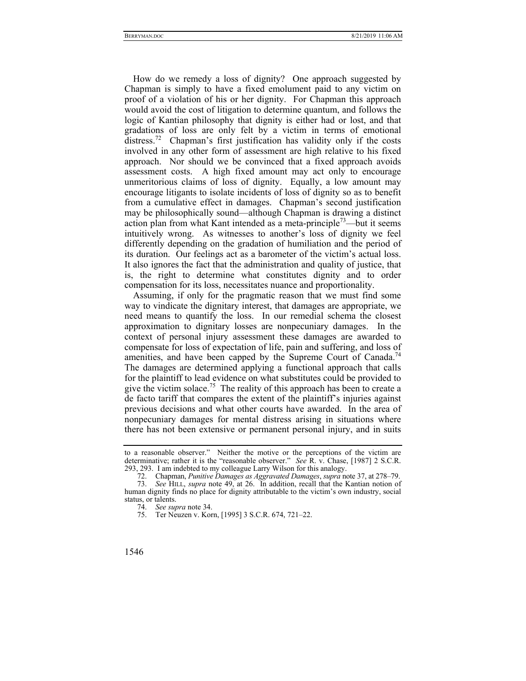How do we remedy a loss of dignity? One approach suggested by Chapman is simply to have a fixed emolument paid to any victim on proof of a violation of his or her dignity. For Chapman this approach would avoid the cost of litigation to determine quantum, and follows the logic of Kantian philosophy that dignity is either had or lost, and that gradations of loss are only felt by a victim in terms of emotional distress.72 Chapman's first justification has validity only if the costs involved in any other form of assessment are high relative to his fixed approach. Nor should we be convinced that a fixed approach avoids assessment costs. A high fixed amount may act only to encourage unmeritorious claims of loss of dignity. Equally, a low amount may encourage litigants to isolate incidents of loss of dignity so as to benefit from a cumulative effect in damages. Chapman's second justification may be philosophically sound—although Chapman is drawing a distinct action plan from what Kant intended as a meta-principle<sup> $73$ </sup>—but it seems intuitively wrong. As witnesses to another's loss of dignity we feel differently depending on the gradation of humiliation and the period of its duration. Our feelings act as a barometer of the victim's actual loss. It also ignores the fact that the administration and quality of justice, that is, the right to determine what constitutes dignity and to order compensation for its loss, necessitates nuance and proportionality.

Assuming, if only for the pragmatic reason that we must find some way to vindicate the dignitary interest, that damages are appropriate, we need means to quantify the loss. In our remedial schema the closest approximation to dignitary losses are nonpecuniary damages. In the context of personal injury assessment these damages are awarded to compensate for loss of expectation of life, pain and suffering, and loss of amenities, and have been capped by the Supreme Court of Canada.<sup>74</sup> The damages are determined applying a functional approach that calls for the plaintiff to lead evidence on what substitutes could be provided to give the victim solace.<sup>75</sup> The reality of this approach has been to create a de facto tariff that compares the extent of the plaintiff's injuries against previous decisions and what other courts have awarded. In the area of nonpecuniary damages for mental distress arising in situations where there has not been extensive or permanent personal injury, and in suits

to a reasonable observer." Neither the motive or the perceptions of the victim are determinative; rather it is the "reasonable observer." *See* R. v. Chase, [1987] 2 S.C.R. 293, 293. I am indebted to my colleague Larry Wilson for this analogy.

 <sup>72.</sup> Chapman, *Punitive Damages as Aggravated Damages*, *supra* note 37, at 278–79.

 <sup>73.</sup> *See* HILL, *supra* note 49, at 26. In addition, recall that the Kantian notion of human dignity finds no place for dignity attributable to the victim's own industry, social status, or talents.

 <sup>74.</sup> *See supra* note 34.

 <sup>75.</sup> Ter Neuzen v. Korn, [1995] 3 S.C.R. 674, 721–22.

<sup>1546</sup>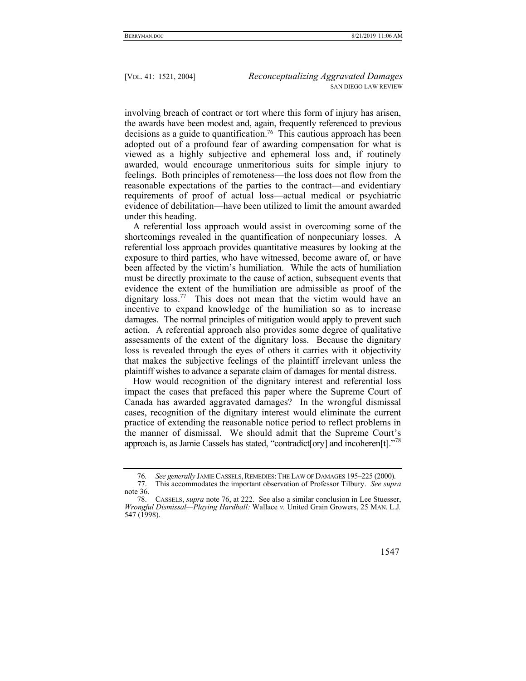involving breach of contract or tort where this form of injury has arisen, the awards have been modest and, again, frequently referenced to previous decisions as a guide to quantification.76 This cautious approach has been adopted out of a profound fear of awarding compensation for what is viewed as a highly subjective and ephemeral loss and, if routinely awarded, would encourage unmeritorious suits for simple injury to feelings. Both principles of remoteness—the loss does not flow from the reasonable expectations of the parties to the contract—and evidentiary requirements of proof of actual loss—actual medical or psychiatric evidence of debilitation—have been utilized to limit the amount awarded under this heading.

A referential loss approach would assist in overcoming some of the shortcomings revealed in the quantification of nonpecuniary losses. A referential loss approach provides quantitative measures by looking at the exposure to third parties, who have witnessed, become aware of, or have been affected by the victim's humiliation. While the acts of humiliation must be directly proximate to the cause of action, subsequent events that evidence the extent of the humiliation are admissible as proof of the dignitary  $loss^{77}$  This does not mean that the victim would have an incentive to expand knowledge of the humiliation so as to increase damages. The normal principles of mitigation would apply to prevent such action. A referential approach also provides some degree of qualitative assessments of the extent of the dignitary loss. Because the dignitary loss is revealed through the eyes of others it carries with it objectivity that makes the subjective feelings of the plaintiff irrelevant unless the plaintiff wishes to advance a separate claim of damages for mental distress.

How would recognition of the dignitary interest and referential loss impact the cases that prefaced this paper where the Supreme Court of Canada has awarded aggravated damages? In the wrongful dismissal cases, recognition of the dignitary interest would eliminate the current practice of extending the reasonable notice period to reflect problems in the manner of dismissal. We should admit that the Supreme Court's approach is, as Jamie Cassels has stated, "contradict [ory] and incoheren[t]."<sup>78</sup>

 <sup>78.</sup> CASSELS, *supra* note 76, at 222. See also a similar conclusion in Lee Stuesser, *Wrongful Dismissal—Playing Hardball:* Wallace *v.* United Grain Growers, 25 MAN. L.J*.*  547 (1998).



<sup>76.</sup> See generally JAMIE CASSELS, REMEDIES: THE LAW OF DAMAGES 195–225 (2000).<br>77 This accommodates the important observation of Professor Tilbury. See sung

 <sup>77.</sup> This accommodates the important observation of Professor Tilbury. *See supra*  note 36.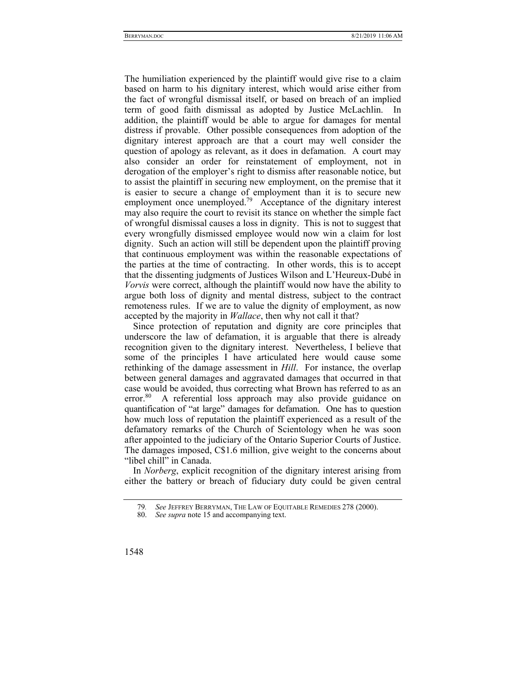The humiliation experienced by the plaintiff would give rise to a claim based on harm to his dignitary interest, which would arise either from the fact of wrongful dismissal itself, or based on breach of an implied term of good faith dismissal as adopted by Justice McLachlin. In addition, the plaintiff would be able to argue for damages for mental distress if provable. Other possible consequences from adoption of the dignitary interest approach are that a court may well consider the question of apology as relevant, as it does in defamation. A court may also consider an order for reinstatement of employment, not in derogation of the employer's right to dismiss after reasonable notice, but to assist the plaintiff in securing new employment, on the premise that it is easier to secure a change of employment than it is to secure new employment once unemployed.<sup>79</sup> Acceptance of the dignitary interest may also require the court to revisit its stance on whether the simple fact of wrongful dismissal causes a loss in dignity. This is not to suggest that every wrongfully dismissed employee would now win a claim for lost dignity. Such an action will still be dependent upon the plaintiff proving that continuous employment was within the reasonable expectations of the parties at the time of contracting. In other words, this is to accept that the dissenting judgments of Justices Wilson and L'Heureux-Dubé in *Vorvis* were correct, although the plaintiff would now have the ability to argue both loss of dignity and mental distress, subject to the contract remoteness rules. If we are to value the dignity of employment, as now accepted by the majority in *Wallace*, then why not call it that?

Since protection of reputation and dignity are core principles that underscore the law of defamation, it is arguable that there is already recognition given to the dignitary interest. Nevertheless, I believe that some of the principles I have articulated here would cause some rethinking of the damage assessment in *Hill*. For instance, the overlap between general damages and aggravated damages that occurred in that case would be avoided, thus correcting what Brown has referred to as an error.<sup>80</sup> A referential loss approach may also provide guidance on quantification of "at large" damages for defamation. One has to question how much loss of reputation the plaintiff experienced as a result of the defamatory remarks of the Church of Scientology when he was soon after appointed to the judiciary of the Ontario Superior Courts of Justice. The damages imposed, C\$1.6 million, give weight to the concerns about "libel chill" in Canada.

In *Norberg*, explicit recognition of the dignitary interest arising from either the battery or breach of fiduciary duty could be given central

<sup>79</sup>*. See* JEFFREY BERRYMAN, THE LAW OF EQUITABLE REMEDIES 278 (2000).

See *supra* note 15 and accompanying text.

<sup>1548</sup>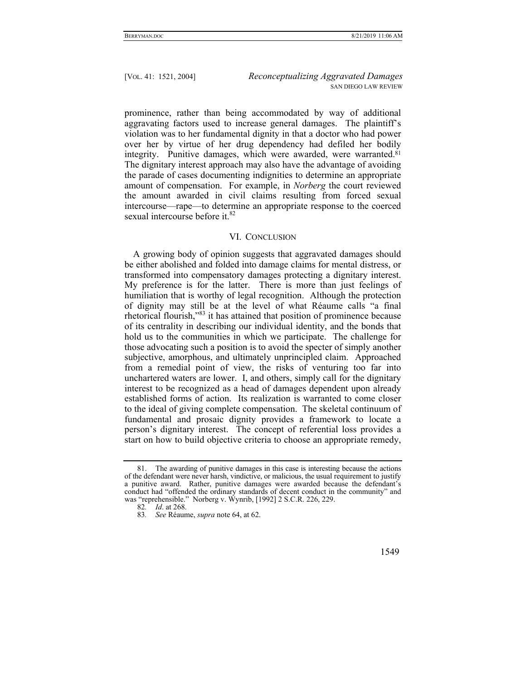prominence, rather than being accommodated by way of additional aggravating factors used to increase general damages. The plaintiff's violation was to her fundamental dignity in that a doctor who had power over her by virtue of her drug dependency had defiled her bodily integrity. Punitive damages, which were awarded, were warranted.<sup>81</sup> The dignitary interest approach may also have the advantage of avoiding the parade of cases documenting indignities to determine an appropriate amount of compensation. For example, in *Norberg* the court reviewed the amount awarded in civil claims resulting from forced sexual intercourse—rape—to determine an appropriate response to the coerced sexual intercourse before it.<sup>82</sup>

# VI. CONCLUSION

A growing body of opinion suggests that aggravated damages should be either abolished and folded into damage claims for mental distress, or transformed into compensatory damages protecting a dignitary interest. My preference is for the latter. There is more than just feelings of humiliation that is worthy of legal recognition. Although the protection of dignity may still be at the level of what Réaume calls "a final rhetorical flourish,"83 it has attained that position of prominence because of its centrality in describing our individual identity, and the bonds that hold us to the communities in which we participate. The challenge for those advocating such a position is to avoid the specter of simply another subjective, amorphous, and ultimately unprincipled claim. Approached from a remedial point of view, the risks of venturing too far into unchartered waters are lower. I, and others, simply call for the dignitary interest to be recognized as a head of damages dependent upon already established forms of action. Its realization is warranted to come closer to the ideal of giving complete compensation. The skeletal continuum of fundamental and prosaic dignity provides a framework to locate a person's dignitary interest. The concept of referential loss provides a start on how to build objective criteria to choose an appropriate remedy,

 <sup>81.</sup> The awarding of punitive damages in this case is interesting because the actions of the defendant were never harsh, vindictive, or malicious, the usual requirement to justify a punitive award. Rather, punitive damages were awarded because the defendant's conduct had "offended the ordinary standards of decent conduct in the community" and was "reprehensible." Norberg v. Wynrib, [1992] 2 S.C.R. 226, 229.

<sup>82</sup>*. Id*. at 268.

<sup>83</sup>*. See* Réaume, *supra* note 64, at 62.